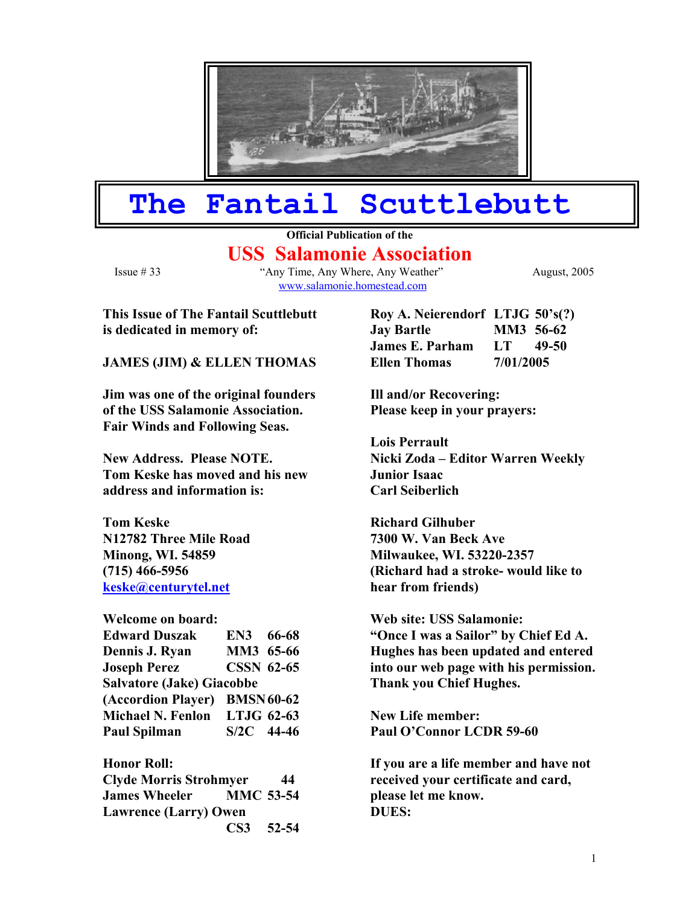

# **The Fantail Scuttlebutt**

## **Official Publication of the USS Salamonie Association**

Issue # 33 "Any Time, Any Where, Any Weather" August, 2005 [www.salamonie.homestead.com](http://www.salamonie.homestead.com/)

**This Issue of The Fantail Scuttlebutt Fig. 1.1. I** is dedicated in memory of:

#### **JAMES (JIM) & ELLEN THOMAS**

**Jim was one of the original founders Ill and/or Recovering: of the USS Salamonie Association. Please keep in your prayers: Fair Winds and Following Seas.** 

**Tom Keske has moved and his new Junior Isaac address and information is: Carl Seiberlich** 

**Tom Keske** Richard Gilhuber **N12782 Three Mile Road 7300 W. Van Beck Ave (715) 466-5956 [keske@centurytel.net](mailto:keske@centurytel.net)**

| <b>Welcome on board:</b>         |                   |  |  |
|----------------------------------|-------------------|--|--|
| <b>Edward Duszak</b>             | EN3 66-68         |  |  |
| Dennis J. Ryan                   | MM3 65-66         |  |  |
| <b>Joseph Perez</b>              | <b>CSSN 62-65</b> |  |  |
| <b>Salvatore (Jake) Giacobbe</b> |                   |  |  |
| (Accordion Player) BMSN 60-62    |                   |  |  |
| Michael N. Fenlon LTJG 62-63     |                   |  |  |
| <b>Paul Spilman</b>              | $S/2C$ 44-46      |  |  |

**Honor Roll: Clyde Morris Strohmyer 44 James Wheeler MMC 53-54**  Lawrence (Larry) Owen **DUES: CS3 52-54** 

| Roy A. Neierendorf LTJG 50's(?) |           |       |
|---------------------------------|-----------|-------|
| <b>Jay Bartle</b>               | MM3 56-62 |       |
| James E. Parham                 | LT -      | 49-50 |
| <b>Ellen Thomas</b>             | 7/01/2005 |       |

**Lois Perrault**  New Address. Please NOTE. Nicki Zoda – Editor Warren Weekly

**Minong, WI. 54859 Milwaukee, WI. 53220-2357 (Richard had a stroke- would like to hear from friends)** 

> **Web site: USS Salamonie: "Once I was a Sailor" by Chief Ed A. Hughes has been updated and entered into our web page with his permission. Thank you Chief Hughes.**

**New Life member:** Paul O'Connor LCDR 59-60

**If you are a life member and have not received your certificate and card, please let me know.**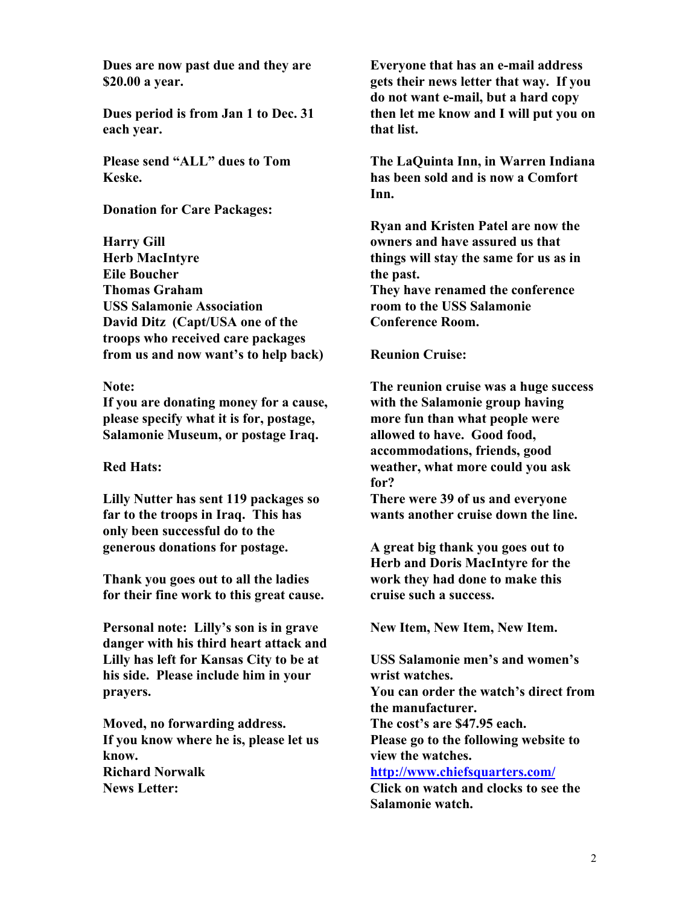**Dues are now past due and they are \$20.00 a year.** 

**Dues period is from Jan 1 to Dec. 31 each year.** 

**Please send "ALL" dues to Tom Keske.** 

**Donation for Care Packages:** 

**Harry Gill Herb MacIntyre Eile Boucher Thomas Graham USS Salamonie Association David Ditz (Capt/USA one of the troops who received care packages**  from us and now want's to help back) Reunion Cruise:

**Note:** 

**If you are donating money for a cause, please specify what it is for, postage, Salamonie Museum, or postage Iraq.** 

### **Red Hats:**

**Lilly Nutter has sent 119 packages so far to the troops in Iraq. This has only been successful do to the generous donations for postage.** A great big thank you goes out to

**Thank you goes out to all the ladies for their fine work to this great cause.** 

Personal note: Lilly's son is in grave New Item, New Item, New Item. **danger with his third heart attack and Lilly has left for Kansas City to be at his side. Please include him in your prayers.** 

**Moved, no forwarding address. The cost's are \$47.95 each. If you know where he is, please let us know. Richard Norwalk <http://www.chiefsquarters.com/> News Letter: Click on watch and clocks to see the** 

**Everyone that has an e-mail address gets their news letter that way. If you do not want e-mail, but a hard copy then let me know and I will put you on that list.** 

**The LaQuinta Inn, in Warren Indiana has been sold and is now a Comfort Inn.** 

**Ryan and Kristen Patel are now the owners and have assured us that things will stay the same for us as in the past. They have renamed the conference room to the USS Salamonie Conference Room.** 

**The reunion cruise was a huge success with the Salamonie group having more fun than what people were allowed to have. Good food, accommodations, friends, good weather, what more could you ask for?** 

**There were 39 of us and everyone wants another cruise down the line.** 

**Herb and Doris MacIntyre for the work they had done to make this cruise such a success.** 

**USS Salamonie men's and women's wrist watches. You can order the watch's direct from the manufacturer. Please go to the following website to view the watches. Salamonie watch.**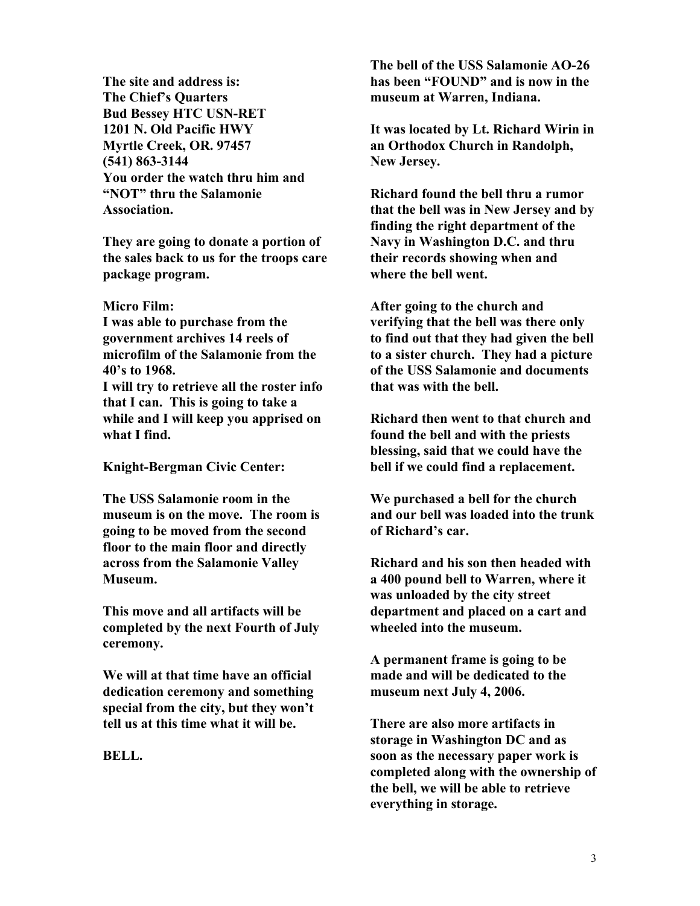**The site and address is: The Chief's Quarters Bud Bessey HTC USN-RET 1201 N. Old Pacific HWY Myrtle Creek, OR. 97457 (541) 863-3144 You order the watch thru him and "NOT" thru the Salamonie Association.** 

**They are going to donate a portion of the sales back to us for the troops care package program.** 

#### **Micro Film:**

**I was able to purchase from the government archives 14 reels of microfilm of the Salamonie from the 40's to 1968.** 

**I will try to retrieve all the roster info that I can. This is going to take a while and I will keep you apprised on what I find.** 

**The USS Salamonie room in the museum is on the move. The room is going to be moved from the second floor to the main floor and directly across from the Salamonie Valley Museum.** 

**This move and all artifacts will be completed by the next Fourth of July ceremony.** 

**We will at that time have an official dedication ceremony and something special from the city, but they won't tell us at this time what it will be. There are also more artifacts in** 

**BELL.** 

**The bell of the USS Salamonie AO-26 has been "FOUND" and is now in the museum at Warren, Indiana.** 

**It was located by Lt. Richard Wirin in an Orthodox Church in Randolph, New Jersey.** 

**Richard found the bell thru a rumor that the bell was in New Jersey and by finding the right department of the Navy in Washington D.C. and thru their records showing when and where the bell went.** 

**After going to the church and verifying that the bell was there only to find out that they had given the bell to a sister church. They had a picture of the USS Salamonie and documents that was with the bell.** 

**Richard then went to that church and found the bell and with the priests blessing, said that we could have the Knight-Bergman Civic Center: bell if we could find a replacement.** 

> **We purchased a bell for the church and our bell was loaded into the trunk of Richard's car.**

**Richard and his son then headed with a 400 pound bell to Warren, where it was unloaded by the city street department and placed on a cart and wheeled into the museum.** 

**A permanent frame is going to be made and will be dedicated to the museum next July 4, 2006.** 

**storage in Washington DC and as soon as the necessary paper work is completed along with the ownership of the bell, we will be able to retrieve everything in storage.**